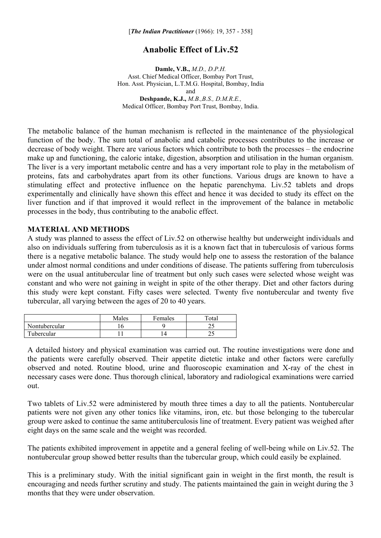## **Anabolic Effect of Liv.52**

**Damle, V.B.,** *M.D., D.P.H.*  Asst. Chief Medical Officer, Bombay Port Trust, Hon. Asst. Physician, L.T.M.G. Hospital, Bombay, India and **Deshpande, K.J.,** *M.B.,B.S., D.M.R.E.,*  Medical Officer, Bombay Port Trust, Bombay, India.

The metabolic balance of the human mechanism is reflected in the maintenance of the physiological function of the body. The sum total of anabolic and catabolic processes contributes to the increase or decrease of body weight. There are various factors which contribute to both the processes – the endocrine make up and functioning, the caloric intake, digestion, absorption and utilisation in the human organism. The liver is a very important metabolic centre and has a very important role to play in the metabolism of proteins, fats and carbohydrates apart from its other functions. Various drugs are known to have a stimulating effect and protective influence on the hepatic parenchyma. Liv.52 tablets and drops experimentally and clinically have shown this effect and hence it was decided to study its effect on the liver function and if that improved it would reflect in the improvement of the balance in metabolic processes in the body, thus contributing to the anabolic effect.

## **MATERIAL AND METHODS**

A study was planned to assess the effect of Liv.52 on otherwise healthy but underweight individuals and also on individuals suffering from tuberculosis as it is a known fact that in tuberculosis of various forms there is a negative metabolic balance. The study would help one to assess the restoration of the balance under almost normal conditions and under conditions of disease. The patients suffering from tuberculosis were on the usual antitubercular line of treatment but only such cases were selected whose weight was constant and who were not gaining in weight in spite of the other therapy. Diet and other factors during this study were kept constant. Fifty cases were selected. Twenty five nontubercular and twenty five tubercular, all varying between the ages of 20 to 40 years.

|               | Males | Females | Total |
|---------------|-------|---------|-------|
| Nontubercular |       |         | ر ب   |
| Tubercular    |       |         | ر ب   |

A detailed history and physical examination was carried out. The routine investigations were done and the patients were carefully observed. Their appetite dietetic intake and other factors were carefully observed and noted. Routine blood, urine and fluoroscopic examination and X-ray of the chest in necessary cases were done. Thus thorough clinical, laboratory and radiological examinations were carried out.

Two tablets of Liv.52 were administered by mouth three times a day to all the patients. Nontubercular patients were not given any other tonics like vitamins, iron, etc. but those belonging to the tubercular group were asked to continue the same antituberculosis line of treatment. Every patient was weighed after eight days on the same scale and the weight was recorded.

The patients exhibited improvement in appetite and a general feeling of well-being while on Liv.52. The nontubercular group showed better results than the tubercular group, which could easily be explained.

This is a preliminary study. With the initial significant gain in weight in the first month, the result is encouraging and needs further scrutiny and study. The patients maintained the gain in weight during the 3 months that they were under observation.